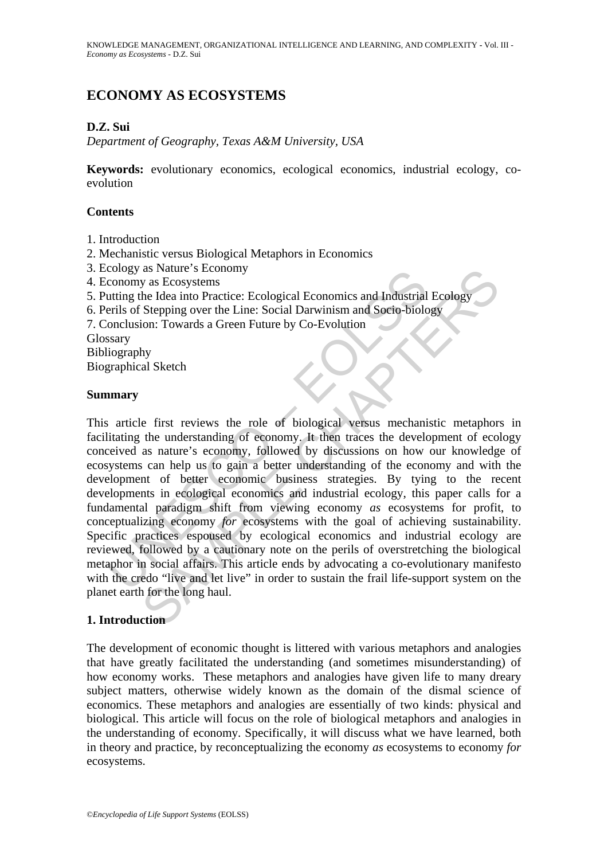# **ECONOMY AS ECOSYSTEMS**

## **D.Z. Sui**

*Department of Geography, Texas A&M University, USA* 

**Keywords:** evolutionary economics, ecological economics, industrial ecology, coevolution

#### **Contents**

- 1. Introduction
- 2. Mechanistic versus Biological Metaphors in Economics
- 3. Ecology as Nature's Economy
- 4. Economy as Ecosystems
- 5. Putting the Idea into Practice: Ecological Economics and Industrial Ecology
- 6. Perils of Stepping over the Line: Social Darwinism and Socio-biology

7. Conclusion: Towards a Green Future by Co-Evolution

Glossary

Bibliography

Biographical Sketch

#### **Summary**

Cology as Radius Secondity<br>
cology as Ecosystems<br>
coromomy as Ecosystems<br>
cuting the Idea into Practice: Ecological Economics and Industrial<br>
erils of Stepping over the Line: Social Darwinism and Socio-biolo<br>
onclusion: To as Nature's Economy<br>
as Recosystems<br>
be Idea into Practice: Ecological Economics and Industrial Ecology<br>
Stepping over the Line: Social Darwinism and Socio-biology<br>
Stepping over the Line: Social Darwinism and Socio-biolog This article first reviews the role of biological versus mechanistic metaphors in facilitating the understanding of economy. It then traces the development of ecology conceived as nature's economy, followed by discussions on how our knowledge of ecosystems can help us to gain a better understanding of the economy and with the development of better economic business strategies. By tying to the recent developments in ecological economics and industrial ecology, this paper calls for a fundamental paradigm shift from viewing economy *as* ecosystems for profit, to conceptualizing economy *for* ecosystems with the goal of achieving sustainability. Specific practices espoused by ecological economics and industrial ecology are reviewed, followed by a cautionary note on the perils of overstretching the biological metaphor in social affairs. This article ends by advocating a co-evolutionary manifesto with the credo "live and let live" in order to sustain the frail life-support system on the planet earth for the long haul.

### **1. Introduction**

The development of economic thought is littered with various metaphors and analogies that have greatly facilitated the understanding (and sometimes misunderstanding) of how economy works. These metaphors and analogies have given life to many dreary subject matters, otherwise widely known as the domain of the dismal science of economics. These metaphors and analogies are essentially of two kinds: physical and biological. This article will focus on the role of biological metaphors and analogies in the understanding of economy. Specifically, it will discuss what we have learned, both in theory and practice, by reconceptualizing the economy *as* ecosystems to economy *for* ecosystems.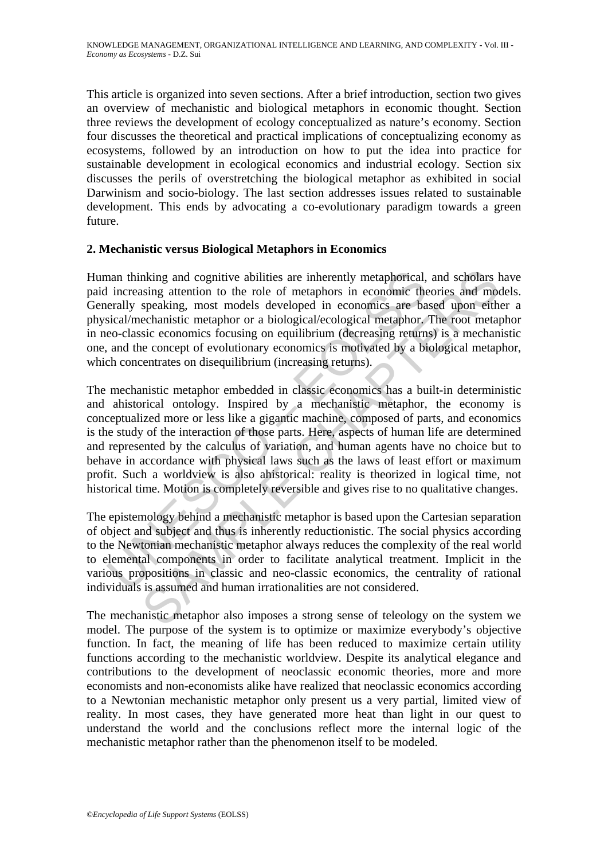This article is organized into seven sections. After a brief introduction, section two gives an overview of mechanistic and biological metaphors in economic thought. Section three reviews the development of ecology conceptualized as nature's economy. Section four discusses the theoretical and practical implications of conceptualizing economy as ecosystems, followed by an introduction on how to put the idea into practice for sustainable development in ecological economics and industrial ecology. Section six discusses the perils of overstretching the biological metaphor as exhibited in social Darwinism and socio-biology. The last section addresses issues related to sustainable development. This ends by advocating a co-evolutionary paradigm towards a green future.

#### **2. Mechanistic versus Biological Metaphors in Economics**

Human thinking and cognitive abilities are inherently metaphorical, and scholars have paid increasing attention to the role of metaphors in economic theories and models. Generally speaking, most models developed in economics are based upon either a physical/mechanistic metaphor or a biological/ecological metaphor. The root metaphor in neo-classic economics focusing on equilibrium (decreasing returns) is a mechanistic one, and the concept of evolutionary economics is motivated by a biological metaphor, which concentrates on disequilibrium (increasing returns).

man thinking and cognitive abilities are inherently metaphorical,<br>a increasing attention to the role of metaphors in economic the<br>erally speaking, most models developed in economics are ba<br>sical/mechanistic metaphor or a b nking and cognitive abilities are inherently metaphorical, and scholars lising attention to the role of metaphors in economic theories and mood speaking, most models developed in economics are based upon eith ecchanistic m The mechanistic metaphor embedded in classic economics has a built-in deterministic and ahistorical ontology. Inspired by a mechanistic metaphor, the economy is conceptualized more or less like a gigantic machine, composed of parts, and economics is the study of the interaction of those parts. Here, aspects of human life are determined and represented by the calculus of variation, and human agents have no choice but to behave in accordance with physical laws such as the laws of least effort or maximum profit. Such a worldview is also ahistorical: reality is theorized in logical time, not historical time. Motion is completely reversible and gives rise to no qualitative changes.

The epistemology behind a mechanistic metaphor is based upon the Cartesian separation of object and subject and thus is inherently reductionistic. The social physics according to the Newtonian mechanistic metaphor always reduces the complexity of the real world to elemental components in order to facilitate analytical treatment. Implicit in the various propositions in classic and neo-classic economics, the centrality of rational individuals is assumed and human irrationalities are not considered.

The mechanistic metaphor also imposes a strong sense of teleology on the system we model. The purpose of the system is to optimize or maximize everybody's objective function. In fact, the meaning of life has been reduced to maximize certain utility functions according to the mechanistic worldview. Despite its analytical elegance and contributions to the development of neoclassic economic theories, more and more economists and non-economists alike have realized that neoclassic economics according to a Newtonian mechanistic metaphor only present us a very partial, limited view of reality. In most cases, they have generated more heat than light in our quest to understand the world and the conclusions reflect more the internal logic of the mechanistic metaphor rather than the phenomenon itself to be modeled.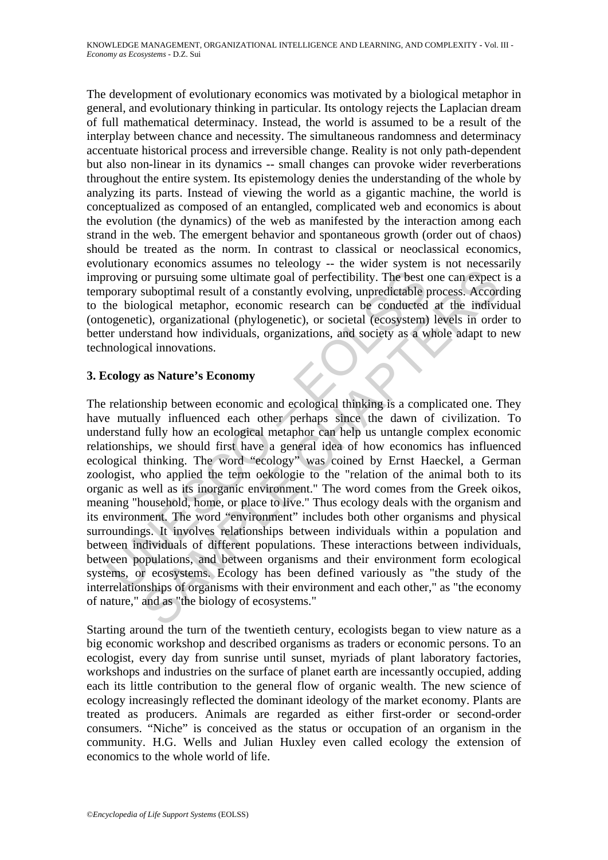The development of evolutionary economics was motivated by a biological metaphor in general, and evolutionary thinking in particular. Its ontology rejects the Laplacian dream of full mathematical determinacy. Instead, the world is assumed to be a result of the interplay between chance and necessity. The simultaneous randomness and determinacy accentuate historical process and irreversible change. Reality is not only path-dependent but also non-linear in its dynamics -- small changes can provoke wider reverberations throughout the entire system. Its epistemology denies the understanding of the whole by analyzing its parts. Instead of viewing the world as a gigantic machine, the world is conceptualized as composed of an entangled, complicated web and economics is about the evolution (the dynamics) of the web as manifested by the interaction among each strand in the web. The emergent behavior and spontaneous growth (order out of chaos) should be treated as the norm. In contrast to classical or neoclassical economics, evolutionary economics assumes no teleology -- the wider system is not necessarily improving or pursuing some ultimate goal of perfectibility. The best one can expect is a temporary suboptimal result of a constantly evolving, unpredictable process. According to the biological metaphor, economic research can be conducted at the individual (ontogenetic), organizational (phylogenetic), or societal (ecosystem) levels in order to better understand how individuals, organizations, and society as a whole adapt to new technological innovations.

### **3. Ecology as Nature's Economy**

roving or pursuing some ultimate goal of perfectibility. The best of porary suboptimal result of a constantly evolving, unpredictable phe biological metaphor, economic research can be conducted ogenetic), organizational (p or pursuing some ultimate goal of perfectibility. The best one can expect suboptimal result of a constantly evolving, unpredictable process. Accordibility (i.e., organizational (phylogenetic), or societal (ecosystem) level The relationship between economic and ecological thinking is a complicated one. They have mutually influenced each other perhaps since the dawn of civilization. To understand fully how an ecological metaphor can help us untangle complex economic relationships, we should first have a general idea of how economics has influenced ecological thinking. The word "ecology" was coined by Ernst Haeckel, a German zoologist, who applied the term oekologie to the "relation of the animal both to its organic as well as its inorganic environment." The word comes from the Greek oikos, meaning "household, home, or place to live." Thus ecology deals with the organism and its environment. The word "environment" includes both other organisms and physical surroundings. It involves relationships between individuals within a population and between individuals of different populations. These interactions between individuals, between populations, and between organisms and their environment form ecological systems, or ecosystems. Ecology has been defined variously as "the study of the interrelationships of organisms with their environment and each other," as "the economy of nature," and as "the biology of ecosystems."

Starting around the turn of the twentieth century, ecologists began to view nature as a big economic workshop and described organisms as traders or economic persons. To an ecologist, every day from sunrise until sunset, myriads of plant laboratory factories, workshops and industries on the surface of planet earth are incessantly occupied, adding each its little contribution to the general flow of organic wealth. The new science of ecology increasingly reflected the dominant ideology of the market economy. Plants are treated as producers. Animals are regarded as either first-order or second-order consumers. "Niche" is conceived as the status or occupation of an organism in the community. H.G. Wells and Julian Huxley even called ecology the extension of economics to the whole world of life.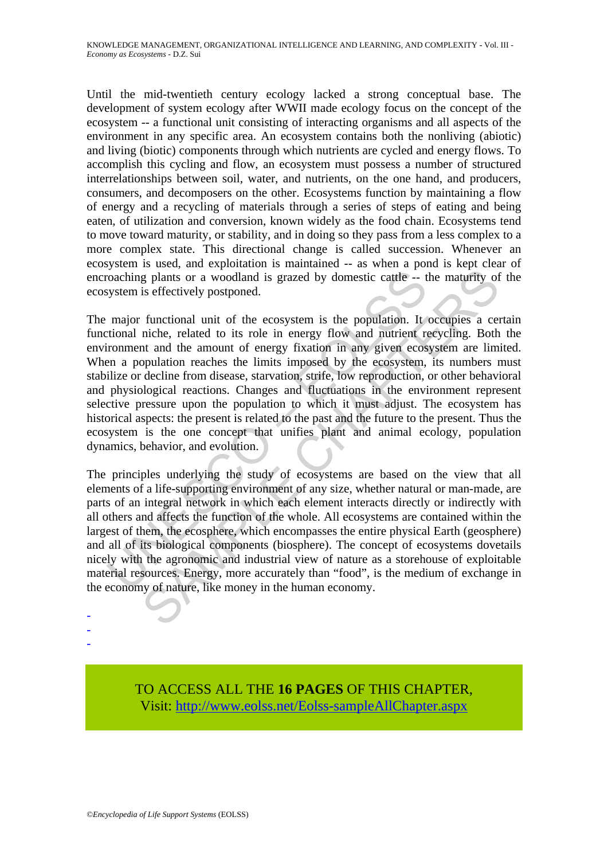Until the mid-twentieth century ecology lacked a strong conceptual base. The development of system ecology after WWII made ecology focus on the concept of the ecosystem -- a functional unit consisting of interacting organisms and all aspects of the environment in any specific area. An ecosystem contains both the nonliving (abiotic) and living (biotic) components through which nutrients are cycled and energy flows. To accomplish this cycling and flow, an ecosystem must possess a number of structured interrelationships between soil, water, and nutrients, on the one hand, and producers, consumers, and decomposers on the other. Ecosystems function by maintaining a flow of energy and a recycling of materials through a series of steps of eating and being eaten, of utilization and conversion, known widely as the food chain. Ecosystems tend to move toward maturity, or stability, and in doing so they pass from a less complex to a more complex state. This directional change is called succession. Whenever an ecosystem is used, and exploitation is maintained -- as when a pond is kept clear of encroaching plants or a woodland is grazed by domestic cattle -- the maturity of the ecosystem is effectively postponed.

coaching plants or a woodland is grazed by domestic cattle --<br>tystem is effectively postponed.<br>
major functional unit of the ecosystem is the population. It<br>
tritional niche, related to its role in energy flow and nutrient g plants or a woodland is grazed by domestic cattle -- the maturity of<br>is effectively postponed.<br>
functional unit of the ecosystem is the population. It occupies a certic<br>
functional unit of the ecosystem is the population The major functional unit of the ecosystem is the population. It occupies a certain functional niche, related to its role in energy flow and nutrient recycling. Both the environment and the amount of energy fixation in any given ecosystem are limited. When a population reaches the limits imposed by the ecosystem, its numbers must stabilize or decline from disease, starvation, strife, low reproduction, or other behavioral and physiological reactions. Changes and fluctuations in the environment represent selective pressure upon the population to which it must adjust. The ecosystem has historical aspects: the present is related to the past and the future to the present. Thus the ecosystem is the one concept that unifies plant and animal ecology, population dynamics, behavior, and evolution.

The principles underlying the study of ecosystems are based on the view that all elements of a life-supporting environment of any size, whether natural or man-made, are parts of an integral network in which each element interacts directly or indirectly with all others and affects the function of the whole. All ecosystems are contained within the largest of them, the ecosphere, which encompasses the entire physical Earth (geosphere) and all of its biological components (biosphere). The concept of ecosystems dovetails nicely with the agronomic and industrial view of nature as a storehouse of exploitable material resources. Energy, more accurately than "food", is the medium of exchange in the economy of nature, like money in the human economy.

> TO ACCESS ALL THE **16 PAGES** OF THIS CHAPTER, Visit: [http://www.eolss.net/Eolss-sampleAllChapter.aspx](https://www.eolss.net/ebooklib/sc_cart.aspx?File=E1-29-04-06)

- - -